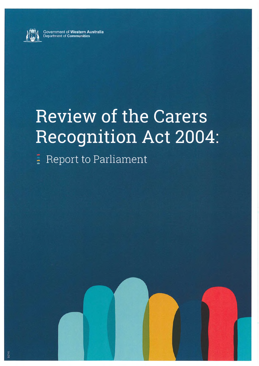

Government of **Western Australia** Department of **Communities**

# Review of the Carers Recognition Act 2004

**: Report to Parliament**



DC749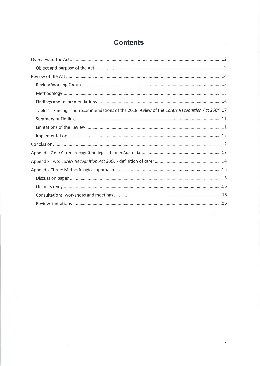# **Contents**

| Table 1 Findings and recommendations of the 2018 review of the Carers Recognition Act 20047 |
|---------------------------------------------------------------------------------------------|
|                                                                                             |
|                                                                                             |
|                                                                                             |
|                                                                                             |
|                                                                                             |
|                                                                                             |
|                                                                                             |
|                                                                                             |
|                                                                                             |
|                                                                                             |
|                                                                                             |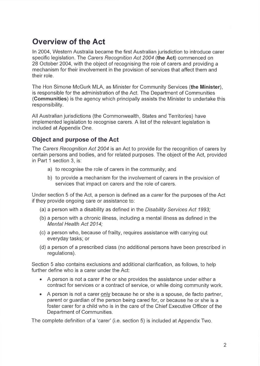# <span id="page-2-0"></span>**Overview of the Act**

In 2004, Western Australia became the first Australian jurisdiction to introduce carer specific legislation. The *Carers Recognition Act 2004* **(the Act)** commenced on 28 October 2004, with the object of recognising the role of carers and providing a mechanism for their involvement in the provision of services that affect them and their role.

The Hon Simone McGurk MLA, as Minister for Community Services **(the Minister),** is responsible for the administration of the Act. The Department of Communities **(Communities)** is the agency which principally assists the Minister to undertake this responsibility.

All Australian jurisdictions (the Commonwealth, States and Territories) have implemented legislation to recognise carers. A list of the relevant legislation is included at Appendix One.

## <span id="page-2-1"></span>**Object and purpose of the Act**

The *Carers Recognition Act 2004* is an Act to provide for the recognition of carers by certain persons and bodies, and for related purposes. The object of the Act, provided in Part <sup>1</sup> section 3, is:

- a) to recognise the role of carers in the community; and
- b) to provide a mechanism for the involvement of carers in the provision of services that impact on carers and the role of carers.

Under section 5 of the Act, a person is defined as a carer for the purposes of the Act if they provide ongoing care or assistance to;

- (a) a person with a disability as defined in the *Disability Services Act 1993;*
- (b) a person with a chronic illness, including a mental illness as defined in the *Mental Health Act 2014;*
- (c) a person who, because of frailty, requires assistance with carrying out everyday tasks; or
- (d) a person of a prescribed class (no additional persons have been prescribed in regulations).

Section 5 also contains exclusions and additional clarification, as follows, to help further define who is a carer under the Act:

- A person is not a carer if he or she provides the assistance under either a contract for services or a contract of service, or while doing community work.
- A person is not a carer only because he or she is a spouse, de facto partner, parent or guardian of the person being cared for, or because he or she is a foster carer for a child who is in the care of the Chief Executive Officer of the Department of Communities.

The complete definition of a 'carer' (i.e. section 5) is included at Appendix Two.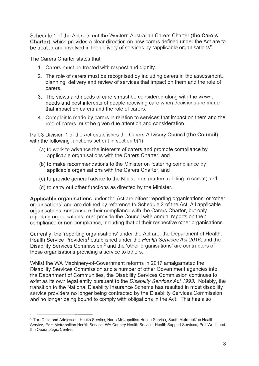Schedule <sup>1</sup> of the Act sets out the Western Australian Carers Charter **(the Carers Charter),** which provides a clear direction on how carers defined under the Act are to be treated and involved in the delivery of services by "applicable organisations".

The Carers Charter states that:

- 1. Carers must be treated with respect and dignity.
- 2. The role of carers must be recognised by including carers in the assessment, planning, delivery and review of services that impact on them and the role of carers.
- 3. The views and needs of carers must be considered along with the views, needs and best interests of people receiving care when decisions are made that impact on carers and the role of carers.
- 4. Complaints made by carers in relation to services that impact on them and the role of carers must be given due attention and consideration.

Part 3 Division <sup>1</sup> of the Act establishes the Carers Advisory Council **(the Council)** with the following functions set out in section  $9(1)$ :

- (a) to work to advance the interests of carers and promote compliance by applicable organisations with the Carers Charter; and
- (b) to make recommendations to the Minister on fostering compliance by applicable organisations with the Carers Charter; and
- (c) to provide general advice to the Minister on matters relating to carers; and
- (d) to carry out other functions as directed by the Minister.

**Applicable organisations** under the Act are either 'reporting organisations' or 'other organisations' and are defined by reference to Schedule 2 of the Act. All applicable organisations must ensure their compliance with the Carers Charter, but only reporting organisations must provide the Council with annual reports on their compliance or non-compliance, including that of their respective other organisations.

Currently, the 'reporting organisations' under the Act are: the Department of Health; Health Service Providers<sup>1</sup> established under the *Health Services Act 2016*; and the Disability Services Commission,<sup>2</sup> and the 'other organisations' are contractors of those organisations providing a service to others.

Whilst the WA Machinery-of-Government reforms in 2017 amalgamated the Disability Services Commission and a number of other Government agencies into the Department of Communities, the Disability Services Commission continues to exist as its own legal entity pursuant to the *Disability Services Act 1993.* Notably, the transition to the National Disability Insurance Scheme has resulted in most disability service providers no longer being contracted by the Disability Services Commission and no longer being bound to comply with obligations in the Act. This has also

<sup>1</sup> The Child and Adolescent Health Service; North Metropolitan Health Service; South Metropolitan Health Service; East Metropolitan Health Service; WA Country Health Service; Health Support Services; PathWest; and the Quadriplegic Centre.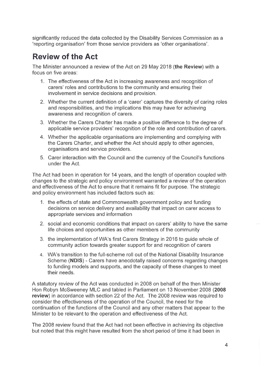significantly reduced the data collected by the Disability Services Commission as a 'reporting organisation' from those service providers as 'other organisations'.

# <span id="page-4-0"></span>**Review of the Act**

The Minister announced a review of the Act on 29 May 2018 **(the Review)** with a focus on five areas:

- 1. The effectiveness of the Act in increasing awareness and recognition of carers' roles and contributions to the community and ensuring their involvement in service decisions and provision.
- 2. Whether the current definition of a 'carer' captures the diversity of caring roles and responsibilities, and the implications this may have for achieving awareness and recognition of carers.
- 3. Whether the Carers Charter has made a positive difference to the degree of applicable service providers' recognition of the role and contribution of carers.
- 4. Whether the applicable organisations are implementing and complying with the Carers Charter, and whether the Act should apply to other agencies, organisations and service providers.
- 5. Carer interaction with the Council and the currency of the Council's functions under the Act.

The Act had been in operation for 14 years, and the length of operation coupled with changes to the strategic and policy environment warranted a review of the operation and effectiveness of the Act to ensure that it remains fit for purpose. The strategic and policy environment has included factors such as:

- 1. the effects of state and Commonwealth government policy and funding decisions on service delivery and availability that impact on carer access to appropriate services and information
- 2. social and economic conditions that impact on carers' ability to have the same life choices and opportunities as other members of the community
- 3. the implementation of WA's first Carers Strategy in 2016 to guide whole of community action towards greater support for and recognition of carers
- 4. WA's transition to the full-scheme roll out of the National Disability Insurance Scheme **(NDIS)** - Carers have anecdotally raised concerns regarding changes to funding models and supports, and the capacity of these changes to meet their needs.

A statutory review of the Act was conducted in 2008 on behalf of the then Minister Hon Robyn McSweeney MLC and tabled in Parliament on 13 November 2008 **(2008 review)** in accordance with section 22 of the Act. The 2008 review was required to consider the effectiveness of the operation of the Council, the need for the continuation of the functions of the Council and any other matters that appear to the Minister to be relevant to the operation and effectiveness of the Act.

The 2008 review found that the Act had not been effective in achieving its objective but noted that this might have resulted from the short period of time it had been in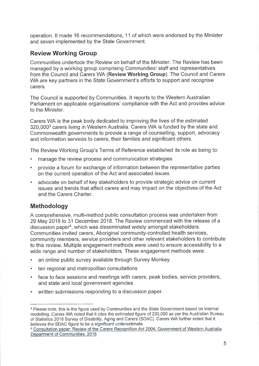operation. It made 16 recommendations, 11 of which were endorsed by the Minister and seven implemented by the State Government.

## <span id="page-5-0"></span>**Review Working Group**

Communities undertook the Review on behalf of the Minister. The Review has been managed by a working group comprising Communities' staff and representatives from the Council and Carers WA **(Review Working Group).** The Council and Carers WA are key partners in the State Government's efforts to support and recognise carers.

The Council is supported by Communities. It reports to the Western Australian Parliament on applicable organisations' compliance with the Act and provides advice to the Minister.

Carers WA is the peak body dedicated to improving the lives of the estimated 320,0003 carers living in Western Australia. Carers WA is funded by the state and Commonwealth governments to provide a range of counselling, support, advocacy and information services to carers, their families and significant others.

The Review Working Group's Terms of Reference established its role as being to:

- manage the review process and communication strategies
- provide a forum for exchange of information between the representative parties on the current operation of the Act and associated issues
- advocate on behalf of key stakeholders to provide strategic advice on current issues and trends that affect carers and may impact on the objectives of the Act and the Carers Charter.

## <span id="page-5-1"></span>**Methodology**

A comprehensive, multi-method public consultation process was undertaken from 29 May 2018 to 31 December 2018. The Review commenced with the release of a discussion paper<sup>4</sup>, which was disseminated widely amongst stakeholders. Communities invited carers, Aboriginal community-controlled health services, community members, service providers and other relevant stakeholders to contribute to this review. Multiple engagement methods were used to ensure accessibility to a wide range and number of stakeholders. These engagement methods were:

- an online public survey available through Survey Monkey
- ten regional and metropolitan consultations
- face to face sessions and meetings with carers, peak bodies, service providers, and state and local government agencies
- written submissions responding to a discussion paper.

<sup>3</sup> Please note, this is the figure used by Communities and the State Government based on internal modelling. Carers WA noted that it cites the estimated figure of 230,000 as per the Australian Bureau of Statistics 2018 Survey of Disability, Aging and Carers (SDAC). Carers WA further noted that it believes the SDAC figure to be a significant underestimate.

<sup>4</sup> Consultation paper: Review of the *Carers Recognition Act 2004,* Government of Western Australia Department of Communities, 2018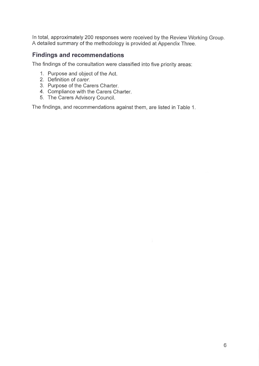In total, approximately 200 responses were received by the Review Working Group. A detailed summary of the methodology is provided at Appendix Three.

### <span id="page-6-0"></span>**Findings and recommendations**

The findings of the consultation were classified into five priority areas:

- 1. Purpose and object of the Act.
- 2. Definition of carer.
- 3. Purpose of the Carers Charter,
- 4. Compliance with the Carers Charter.
- 5. The Carers Advisory Council.

The findings, and recommendations against them, are listed in Table 1.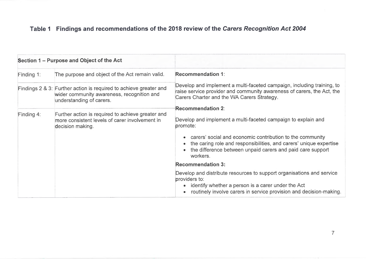# **Table <sup>1</sup> Findings and recommendations of the 2018 review of the** *Carers Recognition Act 2004*

| Section 1 – Purpose and Object of the Act |                                                                                                                                             |                                                                                                                                                                                                                    |
|-------------------------------------------|---------------------------------------------------------------------------------------------------------------------------------------------|--------------------------------------------------------------------------------------------------------------------------------------------------------------------------------------------------------------------|
| Finding 1:                                | The purpose and object of the Act remain valid.                                                                                             | <b>Recommendation 1:</b>                                                                                                                                                                                           |
|                                           | Findings 2 & 3: Further action is required to achieve greater and<br>wider community awareness, recognition and<br>understanding of carers. | Develop and implement a multi-faceted campaign, including training, to<br>raise service provider and community awareness of carers, the Act, the<br>Carers Charter and the WA Carers Strategy.                     |
|                                           |                                                                                                                                             | Recommendation 2:                                                                                                                                                                                                  |
| Finding $4$ :                             | Further action is required to achieve greater and<br>more consistent levels of carer involvement in<br>decision making.                     | Develop and implement a multi-faceted campaign to explain and<br>promote:                                                                                                                                          |
|                                           |                                                                                                                                             | carers' social and economic contribution to the community<br>the caring role and responsibilities, and carers' unique expertise<br>the difference between unpaid carers and paid care support<br>workers.          |
|                                           |                                                                                                                                             | <b>Recommendation 3:</b>                                                                                                                                                                                           |
|                                           |                                                                                                                                             | Develop and distribute resources to support organisations and service<br>providers to:<br>identify whether a person is a carer under the Act<br>routinely involve carers in service provision and decision-making. |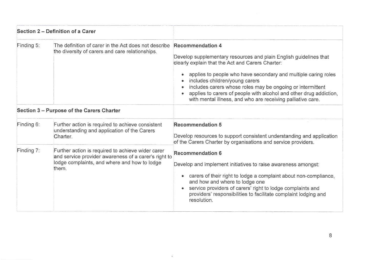| Section 2 – Definition of a Carer |                                                                                                                                                                    |                                                                                                                                                                                                                                                                                                                                                                                                                              |
|-----------------------------------|--------------------------------------------------------------------------------------------------------------------------------------------------------------------|------------------------------------------------------------------------------------------------------------------------------------------------------------------------------------------------------------------------------------------------------------------------------------------------------------------------------------------------------------------------------------------------------------------------------|
| Finding 5:                        | The definition of carer in the Act does not describe Recommendation 4<br>the diversity of carers and care relationships.                                           | Develop supplementary resources and plain English guidelines that<br>clearly explain that the Act and Carers Charter:<br>applies to people who have secondary and multiple caring roles<br>includes children/young carers<br>includes carers whose roles may be ongoing or intermittent<br>applies to carers of people with alcohol and other drug addiction,<br>with mental illness, and who are receiving palliative care. |
|                                   | Section 3 - Purpose of the Carers Charter                                                                                                                          |                                                                                                                                                                                                                                                                                                                                                                                                                              |
| Finding 6:                        | Further action is required to achieve consistent<br>understanding and application of the Carers<br>Charter.                                                        | <b>Recommendation 5</b><br>Develop resources to support consistent understanding and application<br>of the Carers Charter by organisations and service providers.                                                                                                                                                                                                                                                            |
| Finding 7:                        | Further action is required to achieve wider carer<br>and service provider awareness of a carer's right to<br>lodge complaints, and where and how to lodge<br>them. | <b>Recommendation 6</b><br>Develop and implement initiatives to raise awareness amongst:<br>carers of their right to lodge a complaint about non-compliance,<br>and how and where to lodge one<br>service providers of carers' right to lodge complaints and<br>providers' responsibilities to facilitate complaint lodging and<br>resolution.                                                                               |

 $\mathbf{r}_\perp$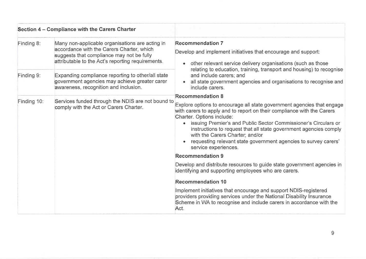| Section 4 – Compliance with the Carers Charter |                                                                                                                                                                                                |                                                                                                                                                                                                                                                                                                                                                                                                                                                                                                                                                                                                                                                                                                                                                                                                                                                                                                                                                                                                                                                                                                                                                                                                                                                  |
|------------------------------------------------|------------------------------------------------------------------------------------------------------------------------------------------------------------------------------------------------|--------------------------------------------------------------------------------------------------------------------------------------------------------------------------------------------------------------------------------------------------------------------------------------------------------------------------------------------------------------------------------------------------------------------------------------------------------------------------------------------------------------------------------------------------------------------------------------------------------------------------------------------------------------------------------------------------------------------------------------------------------------------------------------------------------------------------------------------------------------------------------------------------------------------------------------------------------------------------------------------------------------------------------------------------------------------------------------------------------------------------------------------------------------------------------------------------------------------------------------------------|
| Finding 8:                                     | Many non-applicable organisations are acting in<br>accordance with the Carers Charter, which<br>suggests that compliance may not be fully<br>attributable to the Act's reporting requirements. | <b>Recommendation 7</b><br>Develop and implement initiatives that encourage and support:<br>other relevant service delivery organisations (such as those<br>relating to education, training, transport and housing) to recognise<br>and include carers; and<br>all state government agencies and organisations to recognise and<br>include carers.<br><b>Recommendation 8</b><br>Explore options to encourage all state government agencies that engage<br>with carers to apply and to report on their compliance with the Carers<br>Charter. Options include:<br>issuing Premier's and Public Sector Commissioner's Circulars or<br>instructions to request that all state government agencies comply<br>with the Carers Charter; and/or<br>requesting relevant state government agencies to survey carers'<br>service experiences.<br><b>Recommendation 9</b><br>Develop and distribute resources to guide state government agencies in<br>identifying and supporting employees who are carers.<br><b>Recommendation 10</b><br>Implement initiatives that encourage and support NDIS-registered<br>providers providing services under the National Disability Insurance<br>Scheme in WA to recognise and include carers in accordance with the |
| Finding 9:                                     | Expanding compliance reporting to other/all state<br>government agencies may achieve greater carer<br>awareness, recognition and inclusion.                                                    |                                                                                                                                                                                                                                                                                                                                                                                                                                                                                                                                                                                                                                                                                                                                                                                                                                                                                                                                                                                                                                                                                                                                                                                                                                                  |
| Finding 10:                                    | Services funded through the NDIS are not bound to<br>comply with the Act or Carers Charter.                                                                                                    |                                                                                                                                                                                                                                                                                                                                                                                                                                                                                                                                                                                                                                                                                                                                                                                                                                                                                                                                                                                                                                                                                                                                                                                                                                                  |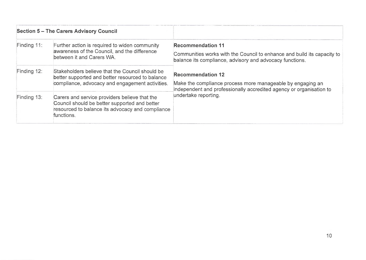| <b>Section 5 - The Carers Advisory Council</b> |                                                                                                                                                                  |                                                                                                                                                                                       |
|------------------------------------------------|------------------------------------------------------------------------------------------------------------------------------------------------------------------|---------------------------------------------------------------------------------------------------------------------------------------------------------------------------------------|
| Finding 11:                                    | Further action is required to widen community<br>awareness of the Council, and the difference<br>between it and Carers WA.                                       | <b>Recommendation 11</b><br>Communities works with the Council to enhance and build its capacity to<br>balance its compliance, advisory and advocacy functions.                       |
| Finding 12:                                    | Stakeholders believe that the Council should be<br>better supported and better resourced to balance<br>compliance, advocacy and engagement activities.           | <b>Recommendation 12</b><br>Make the compliance process more manageable by engaging an<br>independent and professionally accredited agency or organisation to<br>undertake reporting. |
| Finding 13:                                    | Carers and service providers believe that the<br>Council should be better supported and better<br>resourced to balance its advocacy and compliance<br>functions. |                                                                                                                                                                                       |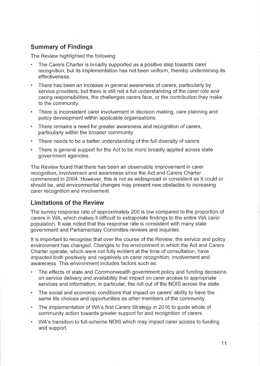## <span id="page-11-0"></span>**Summary of Findings**

The Review highlighted the following:

- The Carers Charter is broadly supported as a positive step towards carer recognition, but its implementation has not been uniform, thereby undermining its effectiveness.
- There has been an increase in general awareness of carers, particularly by service providers, but there is still not a full understanding of the carer role and caring responsibilities, the challenges carers face, or the contribution they make to the community.
- There is inconsistent carer involvement in decision making, care planning and policy development within applicable organisations.
- There remains a need for greater awareness and recognition of carers, particularly within the broader community.
- There needs to be a better understanding of the full diversity of carers
- There is general support for the Act to be more broadly applied across state government agencies.

The Review found that there has been an observable improvement in carer recognition, involvement and awareness since the Act and Carers Charter commenced in 2004. However, this is not as widespread or consistent as it could or should be, and environmental changes may present new obstacles to increasing carer recognition and involvement.

## <span id="page-11-1"></span>**Limitations of the Review**

The survey response rate of approximately 200 is low compared to the proportion of carers in WA, which makes it difficult to extrapolate findings to the entire WA carer population. It was noted that this response rate is consistent with many state government and Parliamentary Committee reviews and inquiries.

It is important to recognise that over the course of the Review, the service and policy environment has changed. Changes to the environment in which the Act and Carers Charter operate, which were not fully evident at the time of consultation, have impacted both positively and negatively on carer recognition, involvement and awareness. This environment includes factors such as:

- The effects of state and Commonwealth government policy and funding decisions on service delivery and availability that impact on carer access to appropriate services and information; in particular, the roll-out of the NDIS across the state.
- The social and economic conditions that impact on carers' ability to have the same life choices and opportunities as other members of the community.
- The implementation of WA's first Carers Strategy in 2016 to guide whole of community action towards greater support for and recognition of carers.
- WA's transition to full-scheme NDIS which may impact carer access to funding and support.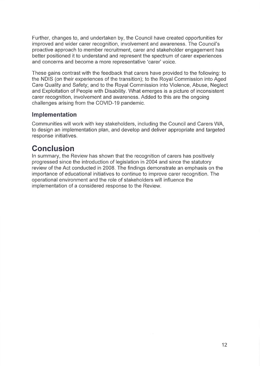Further, changes to, and undertaken by, the Council have created opportunities for improved and wider carer recognition, involvement and awareness. The Council's proactive approach to member recruitment, carer and stakeholder engagement has better positioned it to understand and represent the spectrum of carer experiences and concerns and become a more representative 'carer' voice.

These gains contrast with the feedback that carers have provided to the following: to the NDIS (on their experiences of the transition); to the Royal Commission into Aged Care Quality and Safety; and to the Royal Commission into Violence, Abuse, Neglect and Exploitation of People with Disability. What emerges is a picture of inconsistent carer recognition, involvement and awareness. Added to this are the ongoing challenges arising from the COVID-19 pandemic.

#### <span id="page-12-0"></span>**Implementation**

Communities will work with key stakeholders, including the Council and Carers WA, to design an implementation plan, and develop and deliver appropriate and targeted response initiatives.

# <span id="page-12-1"></span>**Conclusion**

In summary, the Review has shown that the recognition of carers has positively progressed since the introduction of legislation in 2004 and since the statutory review of the Act conducted in 2008. The findings demonstrate an emphasis on the importance of educational initiatives to continue to improve carer recognition. The operational environment and the role of stakeholders will influence the implementation of a considered response to the Review.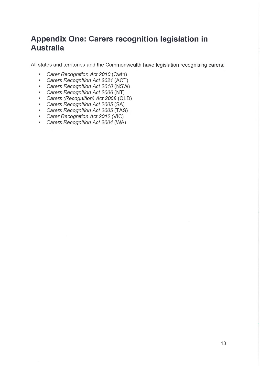# <span id="page-13-0"></span>**Appendix One: Carers recognition legislation in Australia**

All states and territories and the Commonwealth have legislation recognising carers;

- *Carer Recognition Act 2010* (Cwth)
- *Carers Recognition Act 2021* (ACT)
- *Carers Recognition Act 2010* (NSW)
- *Carers Recognition Act 2006* (NT)
- *Carers (Recognition) Act 2008* (OLD)
- *Carers Recognition Act 2005* (SA)
- *Carers Recognition Act 2005* (TAS)
- *Carer Recognition Act 2012* (VIC)
- *Carers Recognition Act 2004* (WA)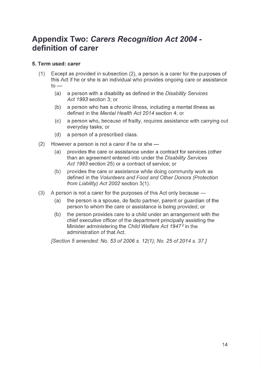# <span id="page-14-0"></span>**Appendix Two:** *Carers Recognition Act 2004*  **definition of carer**

#### **5. Term used: carer**

- (1) Except as provided in subsection (2), a person is a carer for the purposes of this Act if he or she is an individual who provides ongoing care or assistance  $to -$ 
	- (a) a person with a disability as defined in the *Disability Services Act 1993* section 3; or
	- (b) a person who has a chronic illness, including a mental illness as defined in the *Mental Health Act 2014* section 4; or
	- (c) a person who, because of frailty, requires assistance with carrying out everyday tasks; or
	- (d) a person of a prescribed class.
- (2) However a person is not a carer if he or she  $-$ 
	- (a) provides the care or assistance under a contract for services (other than an agreement entered into under the *Disability Services Act 1993* section 25) or a contract of service; or
	- (b) provides the care or assistance while doing community work as defined in the *Volunteers and Food and Other Donors (Protection from Liability) Act 2002* section 3(1).
- (3) A person is not a carer for the purposes of this Act only because
	- (a) the person is a spouse, de facto partner, parent or guardian of the person to whom the care or assistance is being provided; or
	- (b) the person provides care to a child under an arrangement with the chief executive officer of the department principally assisting the Minister administering the *Child Welfare Act 19472* in the administration of that Act.

*[Section 5 amended: No. 53 of 2006 s. 12(1); No. 25 of 2014 s. 37.]*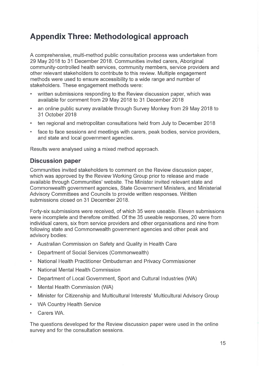# <span id="page-15-0"></span>**Appendix Three: Methodological approach**

A comprehensive, multi-method public consultation process was undertaken from 29 May 2018 to 31 December 2018. Communities invited carers, Aboriginal community-controlled health services, community members, service providers and other relevant stakeholders to contribute to this review. Multiple engagement methods were used to ensure accessibility to a wide range and number of stakeholders. These engagement methods were:

- written submissions responding to the Review discussion paper, which was available for comment from 29 May 2018 to 31 December 2018
- an online public survey available through Survey Monkey from 29 May 2018 to 31 October 2018
- ten regional and metropolitan consultations held from July to December 2018
- face to face sessions and meetings with carers, peak bodies, service providers, and state and local government agencies.

Results were analysed using a mixed method approach.

#### <span id="page-15-1"></span>**Discussion paper**

Communities invited stakeholders to comment on the Review discussion paper, which was approved by the Review Working Group prior to release and made available through Communities' website. The Minister invited relevant state and Commonwealth government agencies, State Government Ministers, and Ministerial Advisory Committees and Councils to provide written responses. Written submissions closed on 31 December 2018.

Forty-six submissions were received, of which 35 were useable. Eleven submissions were incomplete and therefore omitted. Of the 35 useable responses, 20 were from individual carers, six from service providers and other organisations and nine from following state and Commonwealth government agencies and other peak and advisory bodies:

- Australian Commission on Safety and Quality in Health Care
- Department of Social Services (Commonwealth)
- National Health Practitioner Ombudsman and Privacy Commissioner
- National Mental Health Commission
- Department of Local Government, Sport and Cultural Industries (WA)
- Mental Health Commission (WA)
- Minister for Citizenship and Multicultural Interests' Multicultural Advisory Group
- WA Country Health Service
- Carers WA.

The questions developed for the Review discussion paper were used in the online survey and for the consultation sessions.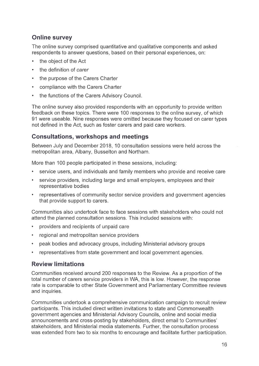## <span id="page-16-0"></span>**Online survey**

The online survey comprised quantitative and qualitative components and asked respondents to answer questions, based on their personal experiences, on:

- the object of the Act
- the definition of *carer*
- the purpose of the Carers Charter
- compliance with the Carers Charter
- the functions of the Carers Advisory Council.

The online survey also provided respondents with an opportunity to provide written feedback on these topics. There were 100 responses to the online survey, of which 91 were useable. Nine responses were omitted because they focused on carer types not defined in the Act, such as foster carers and paid care workers.

## <span id="page-16-1"></span>**Consultations, workshops and meetings**

Between July and December 2018, 10 consultation sessions were held across the metropolitan area, Albany, Busselton and Northam.

More than 100 people participated in these sessions, including:

- service users, and individuals and family members who provide and receive care
- service providers, including large and small employers, employees and their representative bodies
- representatives of community sector service providers and government agencies that provide support to carers.

Communities also undertook face to face sessions with stakeholders who could not attend the planned consultation sessions. This included sessions with:

- providers and recipients of unpaid care
- regional and metropolitan service providers
- peak bodies and advocacy groups, including Ministerial advisory groups
- representatives from state government and local government agencies.

## <span id="page-16-2"></span>**Review limitations**

Communities received around 200 responses to the Review. As a proportion of the total number of carers service providers in WA, this is low. However, the response rate is comparable to other State Government and Parliamentary Committee reviews and inquiries.

Communities undertook a comprehensive communication campaign to recruit review participants. This included direct written invitations to state and Commonwealth government agencies and Ministerial Advisory Councils, online and social media announcements and cross-posting by stakeholders, direct email to Communities' stakeholders, and Ministerial media statements. Further, the consultation process was extended from two to six months to encourage and facilitate further participation.